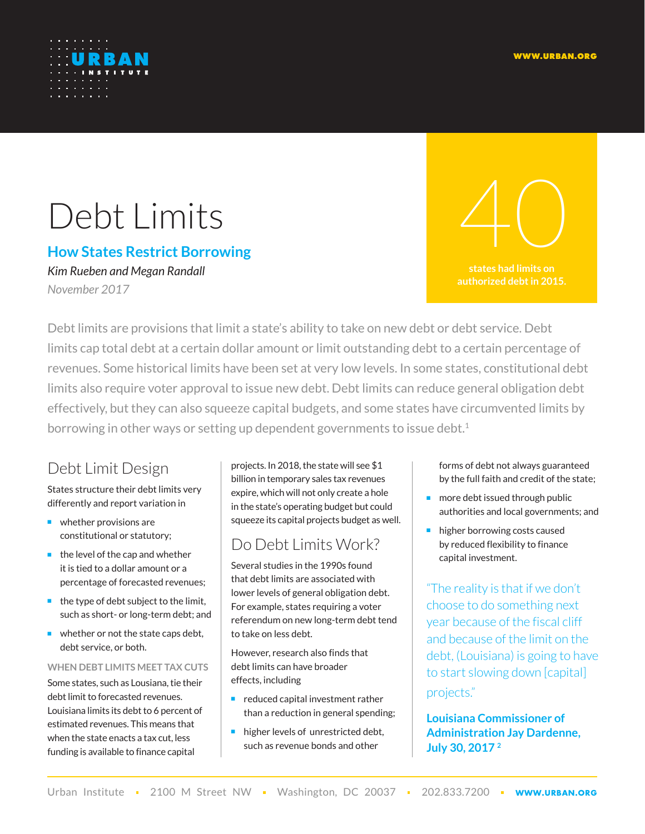

# Debt Limits

## **How States Restrict Borrowing**

*Kim Rueben and Megan Randall November 2017*

**states had limits on authorized debt in 2015.** 40

Debt limits are provisions that limit a state's ability to take on new debt or debt service. Debt limits cap total debt at a certain dollar amount or limit outstanding debt to a certain percentage of revenues. Some historical limits have been set at very low levels. In some states, constitutional debt limits also require voter approval to issue new debt. Debt limits can reduce general obligation debt effectively, but they can also squeeze capital budgets, and some states have circumvented limits by borrowing in other ways or setting up dependent governments to issue debt.<sup>1</sup>

# Debt Limit Design

States structure their debt limits very differently and report variation in

- whether provisions are constitutional or statutory;
- the level of the cap and whether it is tied to a dollar amount or a percentage of forecasted revenues;
- the type of debt subject to the limit, such as short- or long-term debt; and
- whether or not the state caps debt. debt service, or both.

#### **WHEN DEBT LIMITS MEET TAX CUTS**

Some states, such as Lousiana, tie their debt limit to forecasted revenues. Louisiana limits its debt to 6 percent of estimated revenues. This means that when the state enacts a tax cut, less funding is available to finance capital

projects. In 2018, the state will see \$1 billion in temporary sales tax revenues expire, which will not only create a hole in the state's operating budget but could squeeze its capital projects budget as well.

# Do Debt Limits Work?

Several [studies](http://www.sciencedirect.com/science/article/pii/004727279190025W) in the 1990s found that debt limits are associated with lower levels of general obligation debt. For [example,](http://www.sciencedirect.com/science/article/pii/S0167223196000176) states requiring a voter referendum on new long-term debt tend to take on less debt.

However, research also finds that debt limits can have broader effects, including

- reduced [capital investment](http://www.sciencedirect.com/science/article/pii/S0167223196000176) rather than a reduction in general spending;
- higher levels of [unrestricted debt,](http://www.sciencedirect.com/science/article/pii/004727279190025W) such as revenue bonds and other

forms of debt not always guaranteed by the full faith and credit of the state;

- more debt issued through public [authorities](https://link.springer.com/article/10.1007/BF00173819) and [local governments;](https://academic.oup.com/jleo/article-abstract/12/1/62/896224) and
- [higher borrowing costs](http://onlinelibrary.wiley.com/doi/10.1111/j.0275-1100.2005.00356.x/full) caused by reduced flexibility to finance capital investment.

"The reality is that if we don't choose to do something next year because of the fiscal cliff and because of the limit on the debt, (Louisiana) is going to have to start slowing down [capital] projects."

**Louisiana Commissioner of Administration Jay Dardenne, July 30, 2017 2**